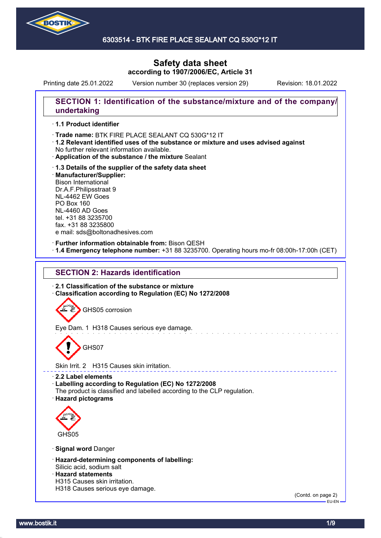

# **Safety data sheet according to 1907/2006/EC, Article 31**

Printing date 25.01.2022 Version number 30 (replaces version 29) Revision: 18.01.2022

## **SECTION 1: Identification of the substance/mixture and of the company/ undertaking**

### · **1.1 Product identifier**

· Trade name: BTK FIRE PLACE SEALANT CQ 530G\*12 IT

- · **1.2 Relevant identified uses of the substance or mixture and uses advised against** No further relevant information available.
- · **Application of the substance / the mixture** Sealant
- · **1.3 Details of the supplier of the safety data sheet** · **Manufacturer/Supplier:** Bison International Dr.A.F.Philipsstraat 9 NL-4462 EW Goes PO Box 160 NL-4460 AD Goes tel. +31 88 3235700 fax. +31 88 3235800 e mail: sds@boltonadhesives.com

#### · **Further information obtainable from:** Bison QESH

· **1.4 Emergency telephone number:** +31 88 3235700. Operating hours mo-fr 08:00h-17:00h (CET)

## **SECTION 2: Hazards identification**

· **2.1 Classification of the substance or mixture** · **Classification according to Regulation (EC) No 1272/2008**

GHS05 corrosion

Eye Dam. 1 H318 Causes serious eye damage.

GHS07

Skin Irrit. 2 H315 Causes skin irritation.

#### · **2.2 Label elements**

· **Labelling according to Regulation (EC) No 1272/2008**

- The product is classified and labelled according to the CLP regulation.
- · **Hazard pictograms**



· **Signal word** Danger

- · **Hazard-determining components of labelling:** Silicic acid, sodium salt
- · **Hazard statements**
- H315 Causes skin irritation.
- H318 Causes serious eye damage.

(Contd. on page 2)  $-EU-EN$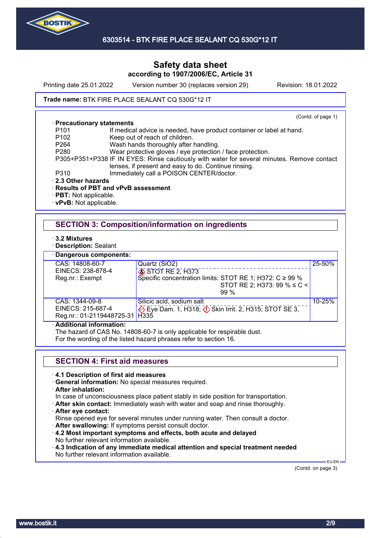

## **Safety data sheet according to 1907/2006/EC, Article 31**

Printing date 25.01.2022 Version number 30 (replaces version 29) Revision: 18.01.2022

### Trade name: BTK FIRE PLACE SEALANT CQ 530G\*12 IT

#### · **Precautionary statements**

(Contd. of page 1)

- P101 If medical advice is needed, have product container or label at hand.<br>P102 Keep out of reach of children.
- P102 Keep out of reach of children.<br>P264 Wash hands thoroughly after
	- Wash hands thoroughly after handling.
- P280 Wear protective gloves / eye protection / face protection.

P305+P351+P338 IF IN EYES: Rinse cautiously with water for several minutes. Remove contact lenses, if present and easy to do. Continue rinsing.

- P310 Immediately call a POISON CENTER/doctor.
- · **2.3 Other hazards**

### · **Results of PBT and vPvB assessment**

- · **PBT:** Not applicable.
- · **vPvB:** Not applicable.

## **SECTION 3: Composition/information on ingredients**

- · **3.2 Mixtures**
- · **Description:** Sealant

· **Dangerous components:**

| Dangerous components:               |                                                                |        |
|-------------------------------------|----------------------------------------------------------------|--------|
| CAS: 14808-60-7                     | Quartz (SiO2)                                                  | 25-50% |
| EINECS: 238-878-4                   | STOT RE 2, H373                                                |        |
| Reg.nr.: Exempt                     | Specific concentration limits: STOT RE 1; H372: $C \ge 99\%$   |        |
|                                     | STOT RE 2; H373: 99 % $\leq C$ <                               |        |
|                                     | $99\%$                                                         |        |
| CAS: 1344-09-8                      | Silicic acid, sodium salt                                      | 10-25% |
| EINECS: 215-687-4                   | Eye Dam. 1, H318; $\circled{}$ Skin Irrit. 2, H315; STOT SE 3, |        |
| Reg.nr.: 01-2119448725-31   H335    |                                                                |        |
| المستحلف ومستوقفته المتمرة فالقاملة |                                                                |        |

### · **Additional information:**

The hazard of CAS No. 14808-60-7 is only applicable for respirable dust.

For the wording of the listed hazard phrases refer to section 16.

## **SECTION 4: First aid measures**

### · **4.1 Description of first aid measures**

- · **General information:** No special measures required.
- · **After inhalation:**

In case of unconsciousness place patient stably in side position for transportation.

- · **After skin contact:** Immediately wash with water and soap and rinse thoroughly.
- · **After eye contact:**

Rinse opened eye for several minutes under running water. Then consult a doctor.

- · **After swallowing:** If symptoms persist consult doctor.
- · **4.2 Most important symptoms and effects, both acute and delayed** No further relevant information available.
- · **4.3 Indication of any immediate medical attention and special treatment needed** No further relevant information available.

 EU-EN (Contd. on page 3)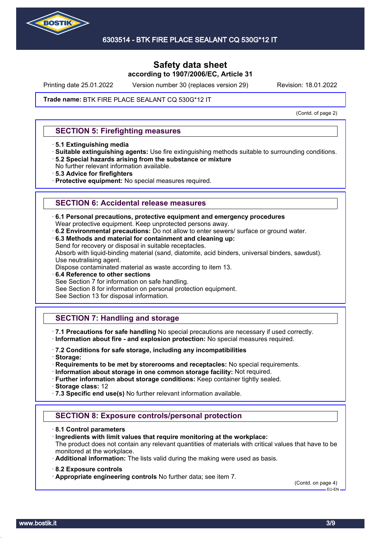

Printing date 25.01.2022 Version number 30 (replaces version 29) Revision: 18.01.2022

### Trade name: BTK FIRE PLACE SEALANT CQ 530G\*12 IT

(Contd. of page 2)

### **SECTION 5: Firefighting measures**

- · **5.1 Extinguishing media**
- · **Suitable extinguishing agents:** Use fire extinguishing methods suitable to surrounding conditions. · **5.2 Special hazards arising from the substance or mixture**
- No further relevant information available.
- · **5.3 Advice for firefighters**
- · **Protective equipment:** No special measures required.

### **SECTION 6: Accidental release measures**

- · **6.1 Personal precautions, protective equipment and emergency procedures**
- Wear protective equipment. Keep unprotected persons away.
- · **6.2 Environmental precautions:** Do not allow to enter sewers/ surface or ground water.
- · **6.3 Methods and material for containment and cleaning up:**

Send for recovery or disposal in suitable receptacles.

Absorb with liquid-binding material (sand, diatomite, acid binders, universal binders, sawdust). Use neutralising agent.

Dispose contaminated material as waste according to item 13.

· **6.4 Reference to other sections**

See Section 7 for information on safe handling.

See Section 8 for information on personal protection equipment.

See Section 13 for disposal information.

## **SECTION 7: Handling and storage**

· **7.1 Precautions for safe handling** No special precautions are necessary if used correctly. · **Information about fire - and explosion protection:** No special measures required.

· **7.2 Conditions for safe storage, including any incompatibilities**

· **Storage:**

· **Requirements to be met by storerooms and receptacles:** No special requirements.

· **Information about storage in one common storage facility:** Not required.

· **Further information about storage conditions:** Keep container tightly sealed.

· **Storage class:** 12

· **7.3 Specific end use(s)** No further relevant information available.

## **SECTION 8: Exposure controls/personal protection**

- · **8.1 Control parameters**
- · **Ingredients with limit values that require monitoring at the workplace:**
- The product does not contain any relevant quantities of materials with critical values that have to be monitored at the workplace.
- · **Additional information:** The lists valid during the making were used as basis.
- · **8.2 Exposure controls**
- · **Appropriate engineering controls** No further data; see item 7.

(Contd. on page 4) EU-EN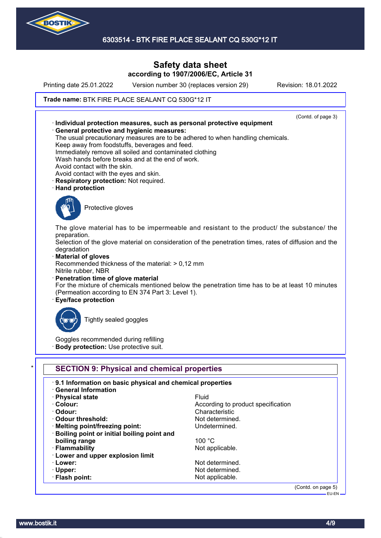

## **Safety data sheet according to 1907/2006/EC, Article 31**

Printing date 25.01.2022 Version number 30 (replaces version 29) Revision: 18.01.2022

### Trade name: BTK FIRE PLACE SEALANT CQ 530G\*12 IT



(Contd. on page 5) EU-EN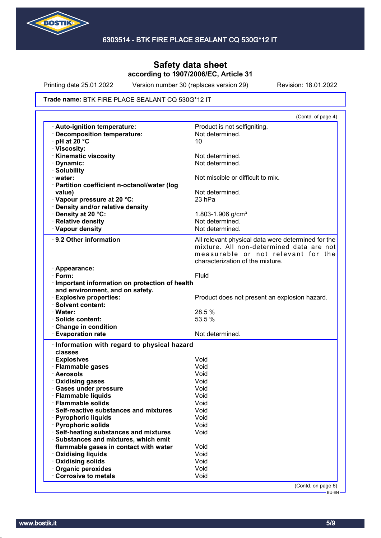

Printing date 25.01.2022 Version number 30 (replaces version 29) Revision: 18.01.2022

#### Trade name: BTK FIRE PLACE SEALANT CQ 530G\*12 IT

|                                                                                              | (Contd. of page 4)                                                                                                                                                       |
|----------------------------------------------------------------------------------------------|--------------------------------------------------------------------------------------------------------------------------------------------------------------------------|
| · Auto-ignition temperature:<br>· Decomposition temperature:<br>$\cdot$ pH at 20 $\degree$ C | Product is not selfigniting.<br>Not determined.<br>10                                                                                                                    |
| · Viscosity:                                                                                 |                                                                                                                                                                          |
| · Kinematic viscosity                                                                        | Not determined.                                                                                                                                                          |
| · Dynamic:                                                                                   | Not determined.                                                                                                                                                          |
| · Solubility                                                                                 |                                                                                                                                                                          |
| $\cdot$ water:                                                                               | Not miscible or difficult to mix.                                                                                                                                        |
| · Partition coefficient n-octanol/water (log                                                 |                                                                                                                                                                          |
| value)                                                                                       | Not determined.                                                                                                                                                          |
| Vapour pressure at 20 °C:                                                                    | 23 hPa                                                                                                                                                                   |
| · Density and/or relative density                                                            |                                                                                                                                                                          |
| · Density at 20 °C:                                                                          | 1.803-1.906 g/cm <sup>3</sup>                                                                                                                                            |
| · Relative density                                                                           | Not determined.                                                                                                                                                          |
| · Vapour density                                                                             | Not determined.                                                                                                                                                          |
|                                                                                              |                                                                                                                                                                          |
| 9.2 Other information                                                                        | All relevant physical data were determined for the<br>mixture. All non-determined data are not<br>measurable or not relevant for the<br>characterization of the mixture. |
| · Appearance:                                                                                |                                                                                                                                                                          |
| $\cdot$ Form:                                                                                | Fluid                                                                                                                                                                    |
| · Important information on protection of health                                              |                                                                                                                                                                          |
| and environment, and on safety.                                                              |                                                                                                                                                                          |
| <b>Explosive properties:</b>                                                                 | Product does not present an explosion hazard.                                                                                                                            |
| · Solvent content:                                                                           |                                                                                                                                                                          |
| · Water:                                                                                     | 28.5 %                                                                                                                                                                   |
| · Solids content:                                                                            | 53.5 %                                                                                                                                                                   |
| Change in condition                                                                          |                                                                                                                                                                          |
| <b>Evaporation rate</b>                                                                      | Not determined.                                                                                                                                                          |
| · Information with regard to physical hazard                                                 |                                                                                                                                                                          |
|                                                                                              |                                                                                                                                                                          |
| classes                                                                                      |                                                                                                                                                                          |
| · Explosives                                                                                 | Void                                                                                                                                                                     |
| · Flammable gases                                                                            | Void                                                                                                                                                                     |
| · Aerosols                                                                                   | Void                                                                                                                                                                     |
| · Oxidising gases                                                                            | Void                                                                                                                                                                     |
| · Gases under pressure                                                                       | Void                                                                                                                                                                     |
| · Flammable liquids                                                                          | Void                                                                                                                                                                     |
| $\cdot$ Flammable solids                                                                     | Void                                                                                                                                                                     |
| Self-reactive substances and mixtures                                                        | Void                                                                                                                                                                     |
| · Pyrophoric liquids                                                                         | Void                                                                                                                                                                     |
| · Pyrophoric solids                                                                          | Void                                                                                                                                                                     |
| Self-heating substances and mixtures                                                         | Void                                                                                                                                                                     |
| Substances and mixtures, which emit                                                          |                                                                                                                                                                          |
| flammable gases in contact with water                                                        | Void                                                                                                                                                                     |
| <b>Oxidising liquids</b>                                                                     | Void                                                                                                                                                                     |
| Oxidising solids                                                                             | Void                                                                                                                                                                     |
| Organic peroxides                                                                            | Void                                                                                                                                                                     |
| Corrosive to metals                                                                          | Void                                                                                                                                                                     |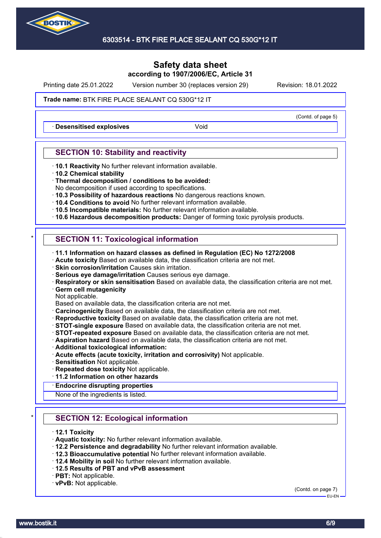

Printing date 25.01.2022 Version number 30 (replaces version 29) Revision: 18.01.2022

(Contd. of page 5)

### Trade name: BTK FIRE PLACE SEALANT CQ 530G\*12 IT

**Desensitised explosives Void** 

## **SECTION 10: Stability and reactivity**

- · **10.1 Reactivity** No further relevant information available.
- · **10.2 Chemical stability**
- · **Thermal decomposition / conditions to be avoided:**
- No decomposition if used according to specifications.
- · **10.3 Possibility of hazardous reactions** No dangerous reactions known.
- · **10.4 Conditions to avoid** No further relevant information available.
- · **10.5 Incompatible materials:** No further relevant information available.
- · **10.6 Hazardous decomposition products:** Danger of forming toxic pyrolysis products.

## **SECTION 11: Toxicological information**

- · **11.1 Information on hazard classes as defined in Regulation (EC) No 1272/2008**
- · **Acute toxicity** Based on available data, the classification criteria are not met.
- · **Skin corrosion/irritation** Causes skin irritation.
- · **Serious eye damage/irritation** Causes serious eye damage.
- · **Respiratory or skin sensitisation** Based on available data, the classification criteria are not met.
- · **Germ cell mutagenicity**
- Not applicable.

Based on available data, the classification criteria are not met.

- · **Carcinogenicity** Based on available data, the classification criteria are not met.
- · **Reproductive toxicity** Based on available data, the classification criteria are not met.
- · **STOT-single exposure** Based on available data, the classification criteria are not met.
- · **STOT-repeated exposure** Based on available data, the classification criteria are not met.
- · **Aspiration hazard** Based on available data, the classification criteria are not met.
- · **Additional toxicological information:**
- · **Acute effects (acute toxicity, irritation and corrosivity)** Not applicable.
- · **Sensitisation** Not applicable.
- · **Repeated dose toxicity** Not applicable.
- · **11.2 Information on other hazards**
- · **Endocrine disrupting properties**

None of the ingredients is listed.

## **SECTION 12: Ecological information**

- · **12.1 Toxicity**
- · **Aquatic toxicity:** No further relevant information available.
- · **12.2 Persistence and degradability** No further relevant information available.
- · **12.3 Bioaccumulative potential** No further relevant information available.
- · **12.4 Mobility in soil** No further relevant information available.
- · **12.5 Results of PBT and vPvB assessment**
- · **PBT:** Not applicable.
- · **vPvB:** Not applicable.

(Contd. on page 7)

EU-EN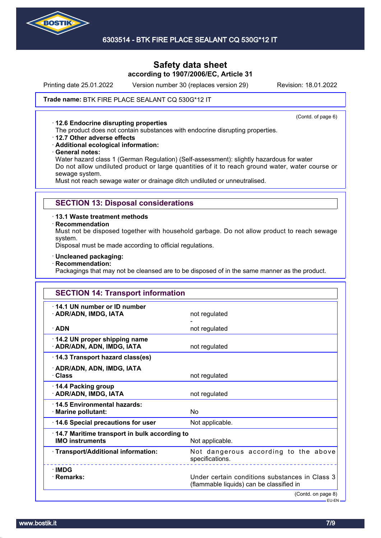

## **Safety data sheet according to 1907/2006/EC, Article 31**

Printing date 25.01.2022 Version number 30 (replaces version 29) Revision: 18.01.2022

### Trade name: BTK FIRE PLACE SEALANT CQ 530G\*12 IT

#### · **12.6 Endocrine disrupting properties**

(Contd. of page 6)

The product does not contain substances with endocrine disrupting properties.

- · **12.7 Other adverse effects**
- · **Additional ecological information:**
- · **General notes:**

Water hazard class 1 (German Regulation) (Self-assessment): slightly hazardous for water Do not allow undiluted product or large quantities of it to reach ground water, water course or sewage system.

Must not reach sewage water or drainage ditch undiluted or unneutralised.

### **SECTION 13: Disposal considerations**

· **13.1 Waste treatment methods**

· **Recommendation**

Must not be disposed together with household garbage. Do not allow product to reach sewage system.

Disposal must be made according to official regulations.

- · **Uncleaned packaging:**
- · **Recommendation:**

Packagings that may not be cleansed are to be disposed of in the same manner as the product.

| <b>SECTION 14: Transport information</b>                               |                                                                                            |
|------------------------------------------------------------------------|--------------------------------------------------------------------------------------------|
| 14.1 UN number or ID number<br>· ADR/ADN, IMDG, IATA                   | not regulated                                                                              |
| $\cdot$ ADN                                                            | not regulated                                                                              |
| 14.2 UN proper shipping name<br>· ADR/ADN, ADN, IMDG, IATA             | not regulated                                                                              |
| 14.3 Transport hazard class(es)                                        |                                                                                            |
| · ADR/ADN, ADN, IMDG, IATA<br>· Class                                  | not regulated                                                                              |
| 14.4 Packing group<br>· ADR/ADN, IMDG, IATA                            | not regulated                                                                              |
| 14.5 Environmental hazards:<br>· Marine pollutant:                     | No                                                                                         |
| 14.6 Special precautions for user                                      | Not applicable.                                                                            |
| 14.7 Maritime transport in bulk according to<br><b>IMO instruments</b> | Not applicable.                                                                            |
| · Transport/Additional information:                                    | Not dangerous according to the above<br>specifications.                                    |
| $\cdot$ IMDG<br>· Remarks:                                             | Under certain conditions substances in Class 3<br>(flammable liquids) can be classified in |
|                                                                        | (Contd. on page 8)<br>– EU-EN –                                                            |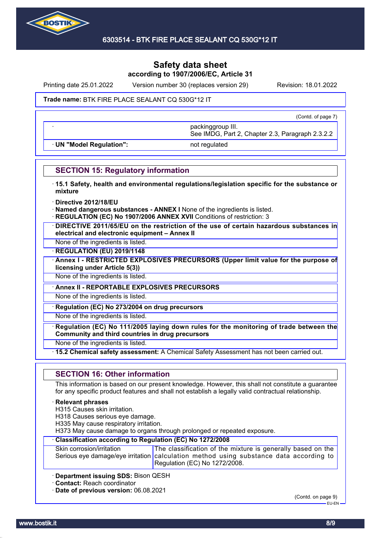

Printing date 25.01.2022 Version number 30 (replaces version 29) Revision: 18.01.2022

### Trade name: BTK FIRE PLACE SEALANT CQ 530G\*12 IT

(Contd. of page 7)

· **UN "Model Regulation":** not regulated

See IMDG, Part 2, Chapter 2.3, Paragraph 2.3.2.2

· packinggroup III.

## **SECTION 15: Regulatory information**

- · **15.1 Safety, health and environmental regulations/legislation specific for the substance or mixture**
- · **Directive 2012/18/EU**
- · **Named dangerous substances ANNEX I** None of the ingredients is listed.
- **REGULATION (EC) No 1907/2006 ANNEX XVII Conditions of restriction: 3**
- · **DIRECTIVE 2011/65/EU on the restriction of the use of certain hazardous substances in electrical and electronic equipment – Annex II**
- None of the ingredients is listed.

· **REGULATION (EU) 2019/1148**

· **Annex I - RESTRICTED EXPLOSIVES PRECURSORS (Upper limit value for the purpose of licensing under Article 5(3))**

None of the ingredients is listed.

· **Annex II - REPORTABLE EXPLOSIVES PRECURSORS**

None of the ingredients is listed.

· **Regulation (EC) No 273/2004 on drug precursors**

None of the ingredients is listed.

· **Regulation (EC) No 111/2005 laying down rules for the monitoring of trade between the Community and third countries in drug precursors**

None of the ingredients is listed.

· **15.2 Chemical safety assessment:** A Chemical Safety Assessment has not been carried out.

## **SECTION 16: Other information**

This information is based on our present knowledge. However, this shall not constitute a guarantee for any specific product features and shall not establish a legally valid contractual relationship.

### · **Relevant phrases**

H315 Causes skin irritation.

H318 Causes serious eye damage.

H335 May cause respiratory irritation.

H373 May cause damage to organs through prolonged or repeated exposure.

## · **Classification according to Regulation (EC) No 1272/2008**

| Skin corrosion/irritation | The classification of the mixture is generally based on the                            |
|---------------------------|----------------------------------------------------------------------------------------|
|                           | Serious eye damage/eye irritation calculation method using substance data according to |
|                           | Regulation (EC) No 1272/2008.                                                          |

· **Department issuing SDS:** Bison QESH

· **Contact:** Reach coordinator

· **Date of previous version:** 06.08.2021

(Contd. on page 9) EU-EN